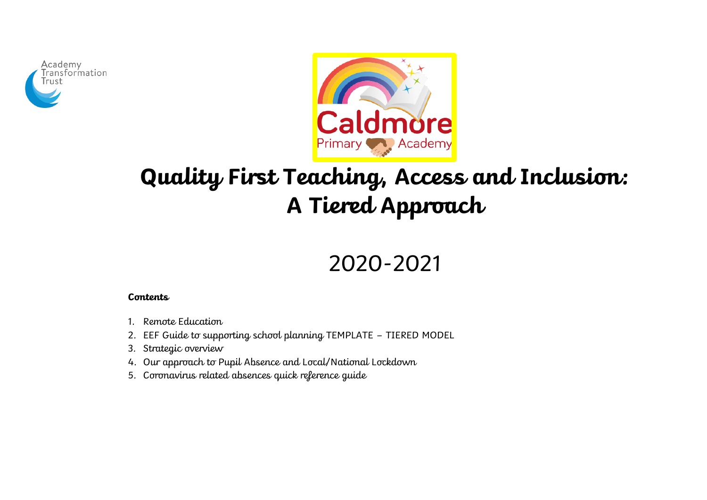



# **Quality First Teaching, Access and Inclusion: A Tiered Approach**

## 2020-2021

#### **Contents**

- 1. Remote Education
- 2. EEF Guide to supporting school planning TEMPLATE TIERED MODEL
- 3. Strategic overview
- 4. Our approach to Pupil Absence and Local/National Lockdown
- 5. Coronavirus related absences quick reference guide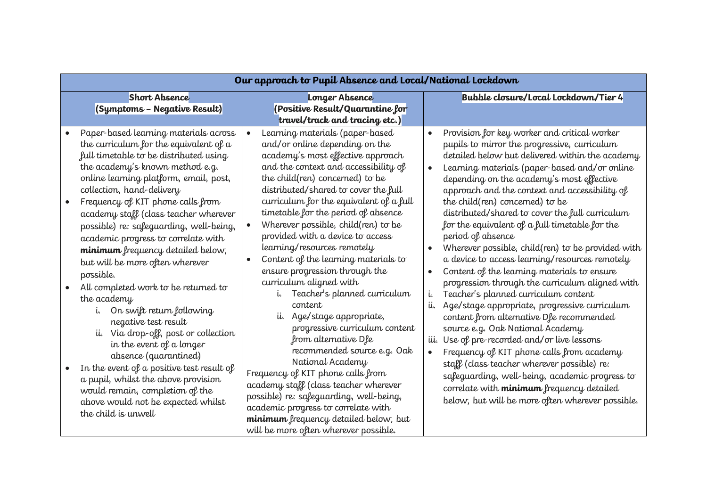| <b>Short Absence</b><br>Bubble closure/Local Lockdown/Tier 4<br>Longer Absence<br>(Symptoms - Negative Result)<br>(Positive Result/Quarantine for<br>travel/track and tracing etc.)<br>Provision for key worker and critical worker<br>Paper-based learning materials across<br>Learning materials (paper-based<br>$\bullet$<br>the curriculum for the equivalent of $a$<br>and/or online depending on the<br>pupils to mirror the progressive, curriculum<br>full timetable to be distributed using<br>academy's most effective approach<br>the academy's known method e.g.<br>and the context and accessibility of<br>online learning platform, email, post,<br>the child(ren) concerned) to be<br>depending on the academy's most effective<br>collection, hand-delivery<br>distributed/shared to cover the full<br>curriculum for the equivalent of a full<br>the child(ren) concerned) to be<br>Frequency of KIT phone calls from<br>timetable for the period of absence<br>academy staff (class teacher wherever<br>Wherever possible, child(ren) to be<br>for the equivalent of a full timetable for the<br>possible) re: safeguarding, well-being,<br>$\bullet$<br>provided with a device to access<br>period of absence<br>academic progress to correlate with<br>learning/resources remotely<br>minimum frequency detailed below,<br>Content of the learning materials to<br>$\bullet$<br>but will be more often wherever<br>ensure progression through the<br>Content of the learning materials to ensure<br>possible.<br>curriculum aligned with<br>All completed work to be returned to<br>Teacher's planned curriculum<br>Teacher's planned curriculum content<br>i.<br>i.<br>the academy<br>content<br>On swift return following<br>Age/stage appropriate,<br>content from alternative Dfe recommended<br>ii.<br>negative test result<br>progressive curriculum content<br>source e.g. Oak National Academy<br>ii. Via drop-off, post or collection<br>from alternative Dfe<br>Use of pre-recorded and/or live lessons<br>iii.<br>in the event of a longer<br>recommended source e.g. Oak<br>absence (quarantined)<br>National Academy<br>staff (class teacher wherever possible) re:<br>In the event of a positive test result of<br>Frequency of KIT phone calls from<br>a pupil, whilst the above provision<br>academy staff (class teacher wherever<br>correlate with minimum frequency detailed | Our approach to Pupil Absence and Local/National Lockdown |                                         |                                                                                                                                                                                                                                                                                                                                                                                                                                                                                                                                                                    |  |  |
|---------------------------------------------------------------------------------------------------------------------------------------------------------------------------------------------------------------------------------------------------------------------------------------------------------------------------------------------------------------------------------------------------------------------------------------------------------------------------------------------------------------------------------------------------------------------------------------------------------------------------------------------------------------------------------------------------------------------------------------------------------------------------------------------------------------------------------------------------------------------------------------------------------------------------------------------------------------------------------------------------------------------------------------------------------------------------------------------------------------------------------------------------------------------------------------------------------------------------------------------------------------------------------------------------------------------------------------------------------------------------------------------------------------------------------------------------------------------------------------------------------------------------------------------------------------------------------------------------------------------------------------------------------------------------------------------------------------------------------------------------------------------------------------------------------------------------------------------------------------------------------------------------------------------------------------------------------------------------------------------------------------------------------------------------------------------------------------------------------------------------------------------------------------------------------------------------------------------------------------------------------------------------------------------------------------------------------------------------------------------------------------------------------------------|-----------------------------------------------------------|-----------------------------------------|--------------------------------------------------------------------------------------------------------------------------------------------------------------------------------------------------------------------------------------------------------------------------------------------------------------------------------------------------------------------------------------------------------------------------------------------------------------------------------------------------------------------------------------------------------------------|--|--|
|                                                                                                                                                                                                                                                                                                                                                                                                                                                                                                                                                                                                                                                                                                                                                                                                                                                                                                                                                                                                                                                                                                                                                                                                                                                                                                                                                                                                                                                                                                                                                                                                                                                                                                                                                                                                                                                                                                                                                                                                                                                                                                                                                                                                                                                                                                                                                                                                                     |                                                           |                                         |                                                                                                                                                                                                                                                                                                                                                                                                                                                                                                                                                                    |  |  |
| above would not be expected whilst<br>academic progress to correlate with<br>the child is unwell<br>minimum frequency detailed below, but<br>will be more often wherever possible.                                                                                                                                                                                                                                                                                                                                                                                                                                                                                                                                                                                                                                                                                                                                                                                                                                                                                                                                                                                                                                                                                                                                                                                                                                                                                                                                                                                                                                                                                                                                                                                                                                                                                                                                                                                                                                                                                                                                                                                                                                                                                                                                                                                                                                  | would remain, completion of the                           | possible) re: safeguarding, well-being, | detailed below but delivered within the academy<br>Learning materials (paper-based and/or online<br>approach and the context and accessibility of<br>distributed/shared to cover the full curriculum<br>Wherever possible, child(ren) to be provided with<br>a device to access learning/resources remotely<br>progression through the curriculum aligned with<br>Age/stage appropriate, progressive curriculum<br>Frequency of KIT phone calls from academy<br>safeguarding, well-being, academic progress to<br>below, but will be more often wherever possible. |  |  |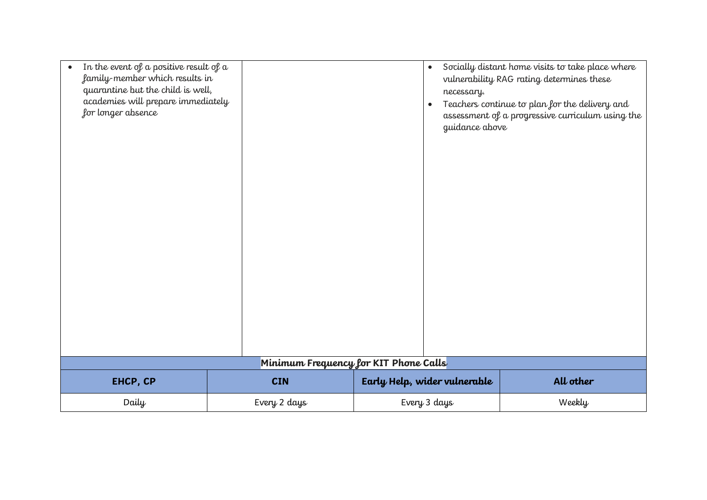| In the event of a positive result of a<br>$\bullet$<br>family-member which results in<br>quarantine but the child is well,<br>academies will prepare immediately<br>for longer absence |              | $\bullet$<br>necessary.<br>$\bullet$<br>guidance above | Socially distant home visits to take place where<br>vulnerability RAG rating determines these<br>Teachers continue to plan for the delivery and<br>assessment of a progressive curriculum using the |
|----------------------------------------------------------------------------------------------------------------------------------------------------------------------------------------|--------------|--------------------------------------------------------|-----------------------------------------------------------------------------------------------------------------------------------------------------------------------------------------------------|
|                                                                                                                                                                                        |              | Minimum Frequency for KIT Phone Calls                  |                                                                                                                                                                                                     |
| EHCP, CP                                                                                                                                                                               | <b>CIN</b>   | Early Help, wider vulnerable                           | All other                                                                                                                                                                                           |
| Daily                                                                                                                                                                                  | Every 2 days | Every 3 days                                           | Weekly                                                                                                                                                                                              |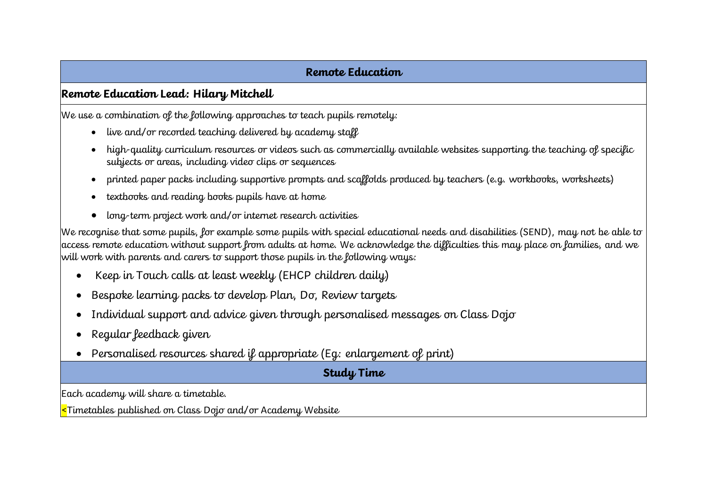#### **Remote Education**

#### **Remote Education Lead: Hilary Mitchell**

We use a combination of the following approaches to teach pupils remotely:

- live and/or recorded teaching delivered by academy staff
- high-quality curriculum resources or videos such as commercially available websites supporting the teaching of specific subjects or areas, including video clips or sequences
- printed paper packs including supportive prompts and scaffolds produced by teachers (e.g. workbooks, worksheets)
- textbooks and reading books pupils have at home
- long-term project work and/or internet research activities

We recognise that some pupils, for example some pupils with special educational needs and disabilities (SEND), may not be able to access remote education without support from adults at home. We acknowledge the difficulties this may place on families, and we will work with parents and carers to support those pupils in the following ways:

- Keep in Touch calls at least weekly (EHCP children daily)
- Bespoke learning packs to develop Plan, Do, Review targets
- Individual support and advice given through personalised messages on Class Dojo
- Regular feedback given
- Personalised resources shared if appropriate (Eg: enlargement of print)

#### **Study Time**

Each academy will share a timetable.

<Timetables published on Class Dojo and/or Academy Website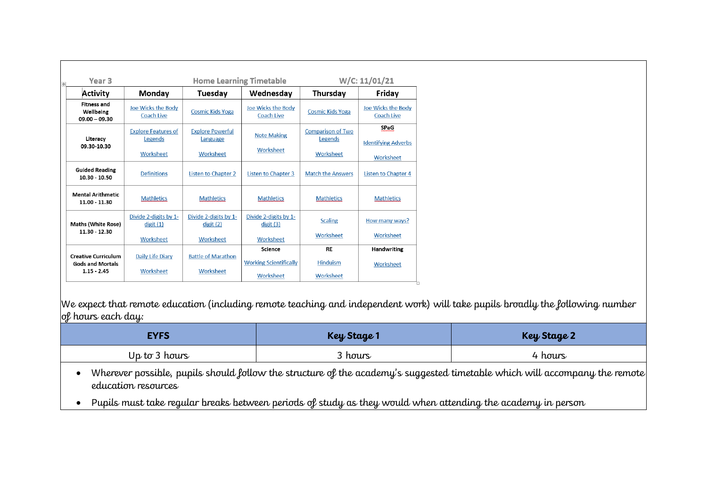| Year 3                                                                 |                                                    | <b>Home Learning Timetable</b>                   |                                                       |                                                  | W/C: 11/01/21                                   |
|------------------------------------------------------------------------|----------------------------------------------------|--------------------------------------------------|-------------------------------------------------------|--------------------------------------------------|-------------------------------------------------|
| Activity                                                               | Monday                                             | Tuesday                                          | Wednesday                                             | Thursday                                         | Friday                                          |
| <b>Fitness and</b><br>Wellbeing<br>$09.00 - 09.30$                     | Joe Wicks the Body<br>Coach Live                   | <b>Cosmic Kids Yoga</b>                          | Joe Wicks the Body<br>Coach Live                      | <b>Cosmic Kids Yoga</b>                          | Joe Wicks the Body<br>Coach Live                |
| Literacy<br>09.30-10.30                                                | <b>Explore Features of</b><br>Legends<br>Worksheet | <b>Explore Powerful</b><br>Language<br>Worksheet | <b>Note Making</b><br>Worksheet                       | <b>Comparison of Two</b><br>Legends<br>Worksheet | SPaG<br><b>Identifying Adverbs</b><br>Worksheet |
| <b>Guided Reading</b><br>10.30 - 10.50                                 | <b>Definitions</b>                                 | <b>Listen to Chapter 2</b>                       | <b>Listen to Chapter 3</b>                            | <b>Match the Answers</b>                         | <b>Listen to Chapter 4</b>                      |
| <b>Mental Arithmetic</b><br>11.00 - 11.30                              | <b>Mathletics</b>                                  | <b>Mathletics</b>                                | <b>Mathletics</b>                                     | <b>Mathletics</b>                                | <b>Mathletics</b>                               |
| <b>Maths (White Rose)</b>                                              | Divide 2-digits by 1-<br>digit(1)                  | Divide 2-digits by 1-<br>digit(2)                | Divide 2-digits by 1-<br>digit(3)                     | <b>Scaling</b>                                   | How many ways?                                  |
| 11.30 - 12.30                                                          | Worksheet                                          | Worksheet                                        | Worksheet                                             | Worksheet                                        | Worksheet                                       |
| <b>Creative Curriculum</b><br><b>Gods and Mortals</b><br>$1.15 - 2.45$ | Daily Life Diary<br>Worksheet                      | <b>Battle of Marathon</b><br>Worksheet           | Science<br><b>Working Scientifically</b><br>Worksheet | <b>RE</b><br>Hinduism<br>Worksheet               | <b>Handwriting</b><br>Worksheet                 |

We expect that remote education (including remote teaching and independent work) will take pupils broadly the following number of hours each day:

| <b>EYFS</b>   | <b>Key Stage 1</b> | <b>Key Stage 2</b> |
|---------------|--------------------|--------------------|
| Up to 3 hours | 3 hours            | 4 hours            |

 Wherever possible, pupils should follow the structure of the academy's suggested timetable which will accompany the remote education resources

Pupils must take regular breaks between periods of study as they would when attending the academy in person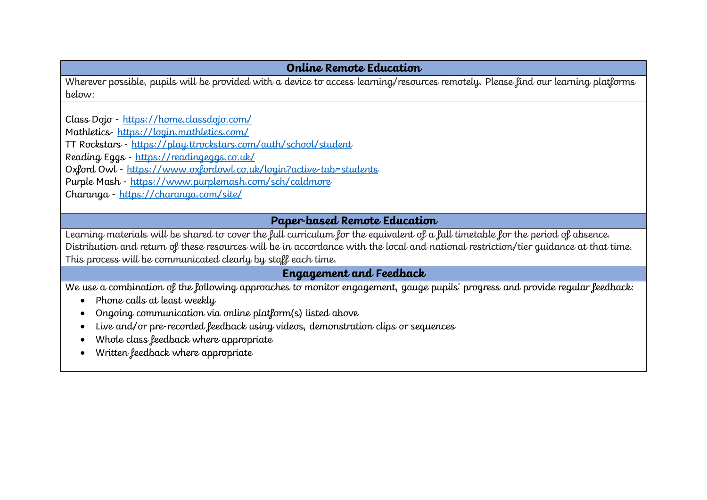#### **Online Remote Education**

Wherever possible, pupils will be provided with a device to access learning/resources remotely. Please find our learning platforms below:

Class Dojo - https://home.classdojo.com/ Mathletics- https://login.mathletics.com/ TT Rockstars - https://play.ttrockstars.com/auth/school/student Reading Eggs - https://readingeggs.co.uk/ Oxford Owl - https://www.oxfordowl.co.uk/login?active-tab=students Purple Mash - https://www.purplemash.com/sch/caldmore Charanga - https://charanga.com/site/

#### **Paper-based Remote Education**

Learning materials will be shared to cover the full curriculum for the equivalent of a full timetable for the period of absence. Distribution and return of these resources will be in accordance with the local and national restriction/tier guidance at that time. This process will be communicated clearly by staff each time.

#### **Engagement and Feedback**

We use a combination of the following approaches to monitor engagement, gauge pupils' progress and provide regular feedback:

- Phone calls at least weekly
- Ongoing communication via online platform(s) listed above
- Live and/or pre-recorded feedback using videos, demonstration clips or sequences
- Whole class feedback where appropriate
- Written feedback where appropriate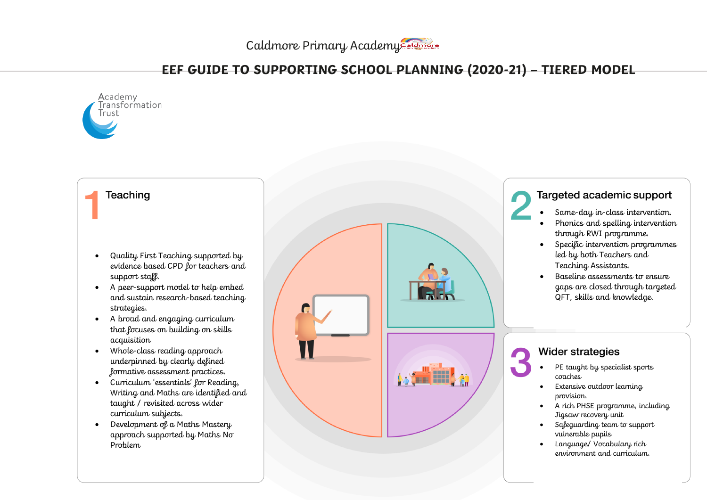Caldmore Primary Academy

### **EEF GUIDE TO SUPPORTING SCHOOL PLANNING (2020-21) – TIERED MODEL**

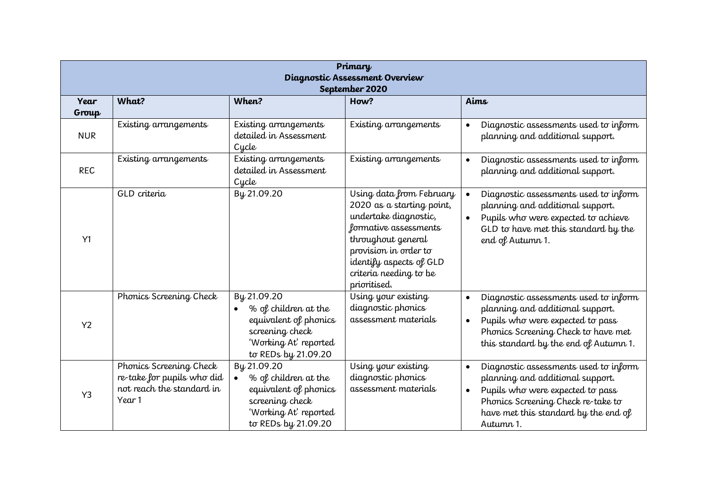| Primary<br>Diagnostic Assessment Overview<br>September 2020 |                                                                                              |                                                                                                                                              |                                                                                                                                                                                                                             |                                                                                                                                                                                                                                    |  |  |
|-------------------------------------------------------------|----------------------------------------------------------------------------------------------|----------------------------------------------------------------------------------------------------------------------------------------------|-----------------------------------------------------------------------------------------------------------------------------------------------------------------------------------------------------------------------------|------------------------------------------------------------------------------------------------------------------------------------------------------------------------------------------------------------------------------------|--|--|
| Year<br>Group                                               | What?                                                                                        | Aims                                                                                                                                         |                                                                                                                                                                                                                             |                                                                                                                                                                                                                                    |  |  |
| <b>NUR</b>                                                  | Existing arrangements                                                                        | Existing arrangements<br>detailed in Assessment<br>Cycle                                                                                     | Existing arrangements                                                                                                                                                                                                       | Diagnostic assessments used to inform<br>$\bullet$<br>planning and additional support.                                                                                                                                             |  |  |
| <b>REC</b>                                                  | Existing arrangements                                                                        | Existing arrangements<br>detailed in Assessment<br>Cycle                                                                                     | Existing arrangements                                                                                                                                                                                                       | Diagnostic assessments used to inform<br>$\bullet$<br>planning and additional support.                                                                                                                                             |  |  |
| Y1                                                          | GLD criteria                                                                                 | By 21.09.20                                                                                                                                  | Using data from February<br>2020 as a starting point,<br>undertake diagnostic,<br>formative assessments<br>throughout general<br>provision in order to<br>identify aspects of GLD<br>criteria needing to be<br>prioritised. | Diagnostic assessments used to inform<br>$\bullet$<br>planning and additional support.<br>Pupils who were expected to achieve<br>$\bullet$<br>GLD to have met this standard by the<br>end of Autumn 1.                             |  |  |
| Y <sub>2</sub>                                              | Phonics Screening Check                                                                      | By 21.09.20<br>% of children at the<br>$\bullet$<br>equivalent of phonics<br>screening check<br>'Working At' reported<br>to REDs by 21.09.20 | Using your existing<br>diagnostic phonics<br>assessment materials                                                                                                                                                           | Diagnostic assessments used to inform<br>$\bullet$<br>planning and additional support.<br>Pupils who were expected to pass<br>$\bullet$<br>Phonics Screening Check to have met<br>this standard by the end of Autumn 1.            |  |  |
| Y3                                                          | Phonics Screening Check<br>re-take for pupils who did<br>not reach the standard in<br>Year 1 | By 21.09.20<br>% of children at the<br>$\bullet$<br>equivalent of phonics<br>screening check<br>'Working At' reported<br>to REDs by 21.09.20 | Using your existing<br>diagnostic phonics<br>assessment materials                                                                                                                                                           | Diagnostic assessments used to inform<br>$\bullet$<br>planning and additional support.<br>Pupils who were expected to pass<br>$\bullet$<br>Phonics Screening Check re-take to<br>have met this standard by the end of<br>Autumn 1. |  |  |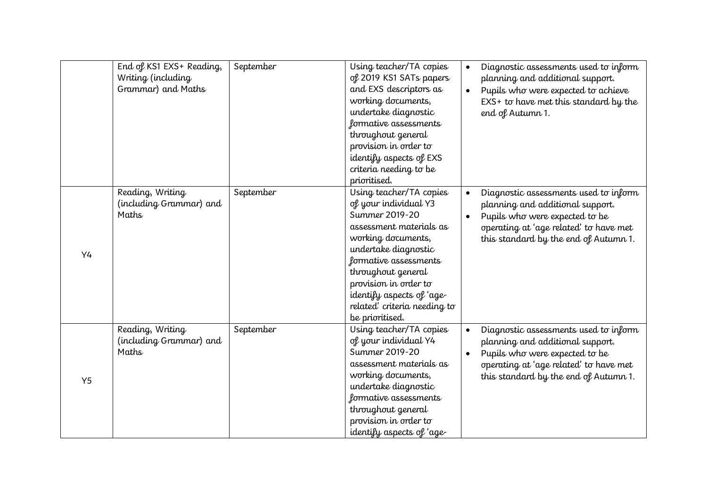|    | End of KS1 EXS+ Reading,<br>Writing (including<br>Grammar) and Maths | September | Using teacher/TA copies<br>of 2019 KS1 SATs papers<br>and EXS descriptors as<br>working documents,<br>undertake diagnostic<br>formative assessments<br>throughout general<br>provision in order to<br>identify aspects of EXS<br>criteria needing to be<br>prioritised.                             | Diagnostic assessments used to inform<br>$\bullet$<br>planning and additional support.<br>Pupils who were expected to achieve<br>$\bullet$<br>$EXS+$ to have met this standard by the<br>end of Autumn 1.                |
|----|----------------------------------------------------------------------|-----------|-----------------------------------------------------------------------------------------------------------------------------------------------------------------------------------------------------------------------------------------------------------------------------------------------------|--------------------------------------------------------------------------------------------------------------------------------------------------------------------------------------------------------------------------|
| Y4 | Reading, Writing<br>(including Grammar) and<br>Maths                 | September | Using teacher/TA copies<br>of your individual Y3<br>Summer 2019-20<br>assessment materials as<br>working documents,<br>undertake diagnostic<br>formative assessments<br>throughout general<br>provision in order to<br>identify aspects of 'age-<br>related' criteria needing to<br>be prioritised. | Diagnostic assessments used to inform<br>$\bullet$<br>planning and additional support.<br>Pupils who were expected to be<br>$\bullet$<br>operating at 'age related' to have met<br>this standard by the end of Autumn 1. |
| Y5 | Reading, Writing<br>(including Grammar) and<br>Maths                 | September | Using teacher/TA copies<br>of your individual Y4<br>Summer 2019-20<br>assessment materials as<br>working documents,<br>undertake diagnostic<br>formative assessments<br>throughout general<br>provision in order to<br>identify aspects of 'age-                                                    | Diagnostic assessments used to inform<br>$\bullet$<br>planning and additional support.<br>Pupils who were expected to be<br>$\bullet$<br>operating at 'age related' to have met<br>this standard by the end of Autumn 1. |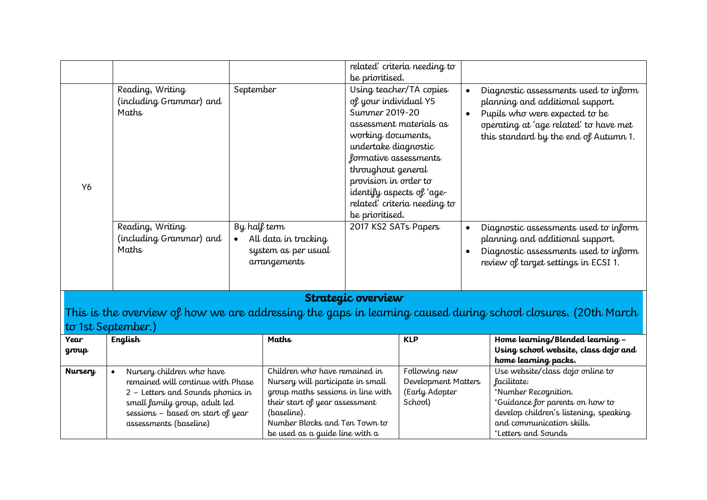|                                                                                                                                                                                                                       | Reading, Writing<br>(including Grammar) and<br>Maths | September                                                                                                                                                                                                                   |                                                                                                                             | be prioritised.<br>of your individual Y5<br>Summer 2019-20<br>working documents,<br>undertake diagnostic<br>formative assessments | related' criteria needing to<br>Using teacher/TA copies<br>assessment materials as | $\bullet$<br>$\bullet$                                                                                                                                                                                   | Diagnostic assessments used to inform<br>planning and additional support.<br>Pupils who were expected to be<br>operating at 'age related' to have met<br>this standard by the end of Autumn 1. |
|-----------------------------------------------------------------------------------------------------------------------------------------------------------------------------------------------------------------------|------------------------------------------------------|-----------------------------------------------------------------------------------------------------------------------------------------------------------------------------------------------------------------------------|-----------------------------------------------------------------------------------------------------------------------------|-----------------------------------------------------------------------------------------------------------------------------------|------------------------------------------------------------------------------------|----------------------------------------------------------------------------------------------------------------------------------------------------------------------------------------------------------|------------------------------------------------------------------------------------------------------------------------------------------------------------------------------------------------|
| Y6                                                                                                                                                                                                                    |                                                      |                                                                                                                                                                                                                             | throughout general<br>provision in order to<br>identify aspects of 'age-<br>related' criteria needing to<br>be prioritised. |                                                                                                                                   |                                                                                    |                                                                                                                                                                                                          |                                                                                                                                                                                                |
|                                                                                                                                                                                                                       | Reading, Writing<br>(including Grammar) and<br>Maths | By half term<br>All data in tracking<br>$\bullet$<br>system as per usual<br>arrangements                                                                                                                                    |                                                                                                                             | 2017 KS2 SATs Papers                                                                                                              | $\bullet$                                                                          |                                                                                                                                                                                                          | Diagnostic assessments used to inform<br>planning and additional support.<br>Diagnostic assessments used to inform<br>review of target settings in ECSI 1.                                     |
|                                                                                                                                                                                                                       |                                                      |                                                                                                                                                                                                                             |                                                                                                                             | Strategic overview                                                                                                                |                                                                                    |                                                                                                                                                                                                          |                                                                                                                                                                                                |
|                                                                                                                                                                                                                       |                                                      |                                                                                                                                                                                                                             |                                                                                                                             |                                                                                                                                   |                                                                                    |                                                                                                                                                                                                          | This is the overview of how we are addressing the gaps in learning caused during school closures. (20th March                                                                                  |
|                                                                                                                                                                                                                       | to 1st September.)                                   |                                                                                                                                                                                                                             |                                                                                                                             |                                                                                                                                   |                                                                                    |                                                                                                                                                                                                          |                                                                                                                                                                                                |
| <b>Year</b><br>group                                                                                                                                                                                                  | English                                              |                                                                                                                                                                                                                             | Maths                                                                                                                       |                                                                                                                                   | <b>KLP</b>                                                                         |                                                                                                                                                                                                          | Home learning/Blended learning -<br>Using school website, class dojo and<br>home learning packs.                                                                                               |
| Nursery children who have<br><b>Nursery</b><br>remained will continue with Phase<br>2 - Letters and Sounds phonics in<br>small family group, adult led<br>sessions - based on start of year<br>assessments (baseline) |                                                      | Children who have remained in<br>Nursery will participate in small<br>group maths sessions in line with<br>their start of year assessment<br>(baseline).<br>Number Blocks and Ten Town to<br>be used as a guide line with a | Following new<br>Development Matters<br>(Early Adopter<br>School)                                                           |                                                                                                                                   |                                                                                    | Use website/class dojo online to<br>facilitate:<br>*Number Recognition.<br>*Guidance for parents on how to<br>develop children's listening, speaking<br>and communication skills.<br>*Letters and Sounds |                                                                                                                                                                                                |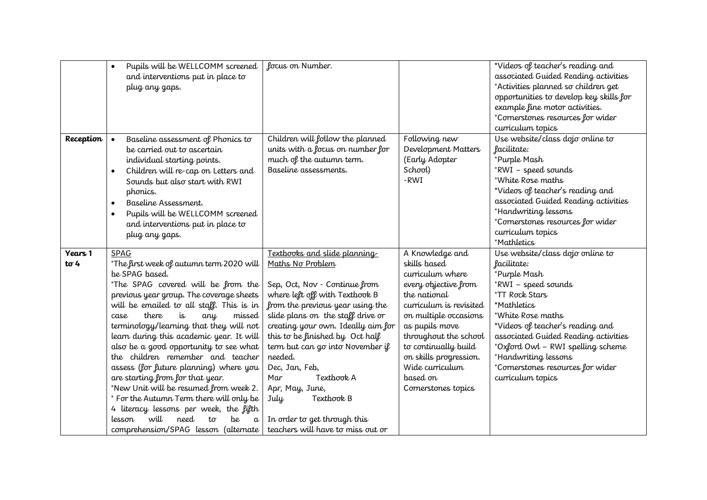|                        | Pupils will be WELLCOMM screened<br>$\bullet$<br>and interventions put in place to<br>plug any gaps.                                                                                                                                                                                                                                                                                                                                                                                                                                                                                                                                                                                                                          | focus on Number.                                                                                                                                                                                                                                                                                                                                                                                                                                                          |                                                                                                                                                                                                                                                                                                    | *Videos of teacher's reading and<br>associated Guided Reading activities<br>*Activities planned so children get<br>opportunities to develop key skills for<br>example fine motor activities.<br>*Cornerstones resources for wider<br>curriculum topics                                                                                          |
|------------------------|-------------------------------------------------------------------------------------------------------------------------------------------------------------------------------------------------------------------------------------------------------------------------------------------------------------------------------------------------------------------------------------------------------------------------------------------------------------------------------------------------------------------------------------------------------------------------------------------------------------------------------------------------------------------------------------------------------------------------------|---------------------------------------------------------------------------------------------------------------------------------------------------------------------------------------------------------------------------------------------------------------------------------------------------------------------------------------------------------------------------------------------------------------------------------------------------------------------------|----------------------------------------------------------------------------------------------------------------------------------------------------------------------------------------------------------------------------------------------------------------------------------------------------|-------------------------------------------------------------------------------------------------------------------------------------------------------------------------------------------------------------------------------------------------------------------------------------------------------------------------------------------------|
| Reception              | Baseline assessment of Phonics to<br>be carried out to ascertain<br>individual starting points.<br>Children will re-cap on Letters and<br>$\bullet$<br>Sounds but also start with RWI<br>phonics.<br>Baseline Assessment.<br>$\bullet$<br>Pupils will be WELLCOMM screened<br>$\bullet$<br>and interventions put in place to<br>plug any gaps.                                                                                                                                                                                                                                                                                                                                                                                | Children will follow the planned<br>units with a focus on number for<br>much of the autumn term.<br>Baseline assessments.                                                                                                                                                                                                                                                                                                                                                 | Following new<br>Development Matters<br>(Early Adopter<br>School)<br>-RWI                                                                                                                                                                                                                          | Use website/class dojo online to<br>facilitate:<br>*Purple Mash<br>*RWI – speed sounds<br>*White Rose maths<br>*Videos of teacher's reading and<br>associated Guided Reading activities<br>*Handwriting lessons<br>*Cornerstones resources for wider<br>curriculum topics<br>*Mathletics                                                        |
| Years 1<br>$t\sigma$ 4 | SPAG<br>*The first week of autumn term 2020 will<br>be SPAG based.<br>*The SPAG covered will be from the<br>previous year group. The coverage sheets<br>will be emailed to all staff. This is in<br>there<br>missed<br>case<br>is<br>any<br>terminology/learning that they will not<br>learn during this academic year. It will<br>also be a good opportunity to see what<br>the children remember and teacher<br>assess (for future planning) where you<br>are starting from for that year.<br>*New Unit will be resumed from week 2.<br>* For the Autumn Term there will only be<br>4 literacy lessons per week, the fifth<br>will<br>need<br>be<br>lesson<br>$t\sigma$<br>$\alpha$<br>comprehension/SPAG lesson (alternate | Textbooks and slide planning<br>Maths No Problem<br>Sep, Oct, Nov - Continue from<br>where left off with Textbook B<br>from the previous year using the<br>slide plans on the staff drive or<br>creating your own. Ideally aim for<br>this to be finished by Oct half<br>term but can go into November if<br>needed.<br>Dec, Jan, Feb,<br>Textbook A<br>Mar<br>Apr, May, June,<br>Textbook B<br>July<br>In order to get through this<br>teachers will have to miss out or | A Knowledge and<br>skills based<br>curriculum where<br>every objective from<br>the national<br>curriculum is revisited<br>on multiple occasions<br>as pupils move<br>throughout the school<br>to continually build<br>on skills progression.<br>Wide curriculum<br>based on<br>Cornerstones topics | Use website/class dojo online to<br>facilitate:<br>*Purple Mash<br>*RWI – speed sounds<br>*TT Rock Stars<br>*Mathletics<br>*White Rose maths<br>*Videos of teacher's reading and<br>associated Guided Reading activities<br>*Oxford Owl - RWI spelling scheme<br>*Handwriting lessons<br>*Cornerstones resources for wider<br>curriculum topics |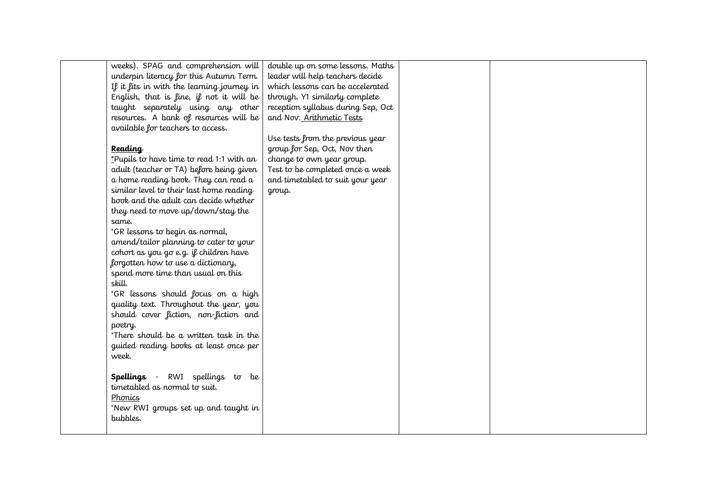| weeks). SPAG and comprehension will        | double up on some lessons. Maths   |  |
|--------------------------------------------|------------------------------------|--|
| underpin literacy for this Autumn Term.    | leader will help teachers decide   |  |
| If it fits in with the learning journey in | which lessons can be accelerated   |  |
| English, that is fine, if not it will be   | through. Y1 similarly complete     |  |
| taught separately using any other          | reception syllabus during Sep, Oct |  |
| resources. A bank of resources will be     | and Nov. Arithmetic Tests          |  |
| available for teachers to access.          |                                    |  |
|                                            | Use tests from the previous year   |  |
| <b>Reading</b>                             | group for Sep, Oct, Nov then       |  |
| *Pupils to have time to read 1:1 with an   | change to own year group.          |  |
| adult (teacher or TA) before being given   | Test to be completed once a week   |  |
| a home reading book. They can read a       | and timetabled to suit your year   |  |
| similar level to their last home reading   | group.                             |  |
| book and the adult can decide whether      |                                    |  |
| they need to move up/down/stay the         |                                    |  |
| same.                                      |                                    |  |
| *GR lessons to begin as normal,            |                                    |  |
| amend/tailor planning to cater to your     |                                    |  |
| cohort as you go e.g. if children have     |                                    |  |
| forgotten how to use a dictionary,         |                                    |  |
| spend more time than usual on this         |                                    |  |
| skill.                                     |                                    |  |
| *GR lessons should focus on a high         |                                    |  |
| quality text. Throughout the year, you     |                                    |  |
| should cover fiction, non-fiction and      |                                    |  |
| poetry.                                    |                                    |  |
| *There should be a written task in the     |                                    |  |
| guided reading books at least once per     |                                    |  |
| week.                                      |                                    |  |
|                                            |                                    |  |
| Spellings - RWI spellings to be            |                                    |  |
| timetabled as normal to suit.              |                                    |  |
| Phonics                                    |                                    |  |
| *New RWI groups set up and taught in       |                                    |  |
| bubbles.                                   |                                    |  |
|                                            |                                    |  |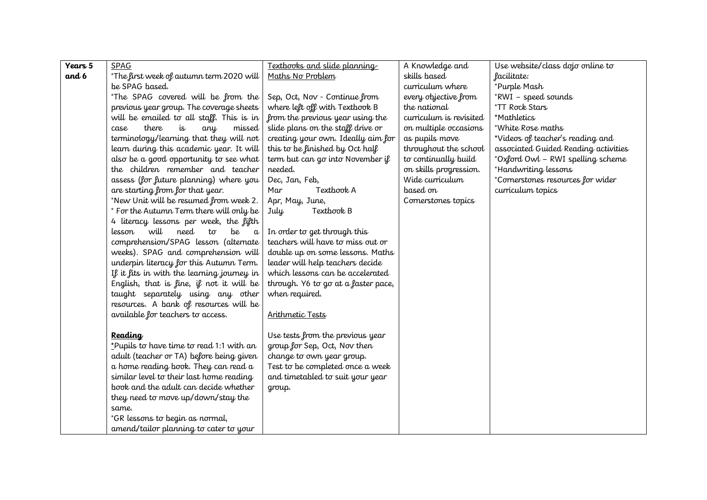| Years 5 | <b>SPAG</b>                                           | Textbooks and slide planning        | A Knowledge and         | Use website/class dojo online to     |
|---------|-------------------------------------------------------|-------------------------------------|-------------------------|--------------------------------------|
| and 6   | *The first week of autumn term 2020 will              | Maths No Problem                    | skills based            | facilitate:                          |
|         | be SPAG based.                                        |                                     | curriculum where        | *Purple Mash                         |
|         | *The SPAG covered will be from the                    | Sep, Oct, Nov - Continue from       | every objective from    | *RWI - speed sounds                  |
|         | previous year group. The coverage sheets              | where left off with Textbook B      | the national            | *TT Rock Stars                       |
|         | will be emailed to all staff. This is in              | from the previous year using the    | curriculum is revisited | *Mathletics                          |
|         | there<br>is<br>missed<br>case<br>any                  | slide plans on the staff drive or   | on multiple occasions   | *White Rose maths                    |
|         | terminology/learning that they will not               | creating your own. Ideally aim for  | as pupils move          | *Videos of teacher's reading and     |
|         | learn during this academic year. It will              | this to be finished by Oct half     | throughout the school   | associated Guided Reading activities |
|         | also be a good opportunity to see what                | term but can go into November if    | to continually build    | *Oxford Owl - RWI spelling scheme    |
|         | the children remember and teacher                     | needed.                             | on skills progression.  | *Handwriting lessons                 |
|         | assess (for future planning) where you                | Dec, Jan, Feb,                      | Wide curriculum         | *Cornerstones resources for wider    |
|         | are starting from for that year.                      | Textbook A<br>Mar                   | based on                | curriculum topics                    |
|         | *New Unit will be resumed from week 2.                | Apr, May, June,                     | Cornerstones topics     |                                      |
|         | * For the Autumn Term there will only be              | Textbook B<br>July                  |                         |                                      |
|         | 4 literacy lessons per week, the fifth                |                                     |                         |                                      |
|         | will<br>need<br>be<br>lesson<br>$t\sigma$<br>$\alpha$ | In order to get through this        |                         |                                      |
|         | comprehension/SPAG lesson (alternate                  | teachers will have to miss out or   |                         |                                      |
|         | weeks). SPAG and comprehension will                   | double up on some lessons. Maths    |                         |                                      |
|         | underpin literacy for this Autumn Term.               | leader will help teachers decide    |                         |                                      |
|         | If it fits in with the learning journey in            | which lessons can be accelerated    |                         |                                      |
|         | English, that is fine, if not it will be              | through. Y6 to go at a faster pace, |                         |                                      |
|         | taught separately using any other                     | when required.                      |                         |                                      |
|         | resources. A bank of resources will be                |                                     |                         |                                      |
|         | available for teachers to access.                     | Arithmetic Tests                    |                         |                                      |
|         |                                                       |                                     |                         |                                      |
|         | <b>Reading</b>                                        | Use tests from the previous year    |                         |                                      |
|         | *Pupils to have time to read 1:1 with an              | group for Sep, Oct, Nov then        |                         |                                      |
|         | adult (teacher or TA) before being given              | change to own year group.           |                         |                                      |
|         | a home reading book. They can read a                  | Test to be completed once a week    |                         |                                      |
|         | similar level to their last home reading              | and timetabled to suit your year    |                         |                                      |
|         | book and the adult can decide whether                 | group.                              |                         |                                      |
|         | they need to move up/down/stay the                    |                                     |                         |                                      |
|         | same.                                                 |                                     |                         |                                      |
|         | *GR lessons to begin as normal,                       |                                     |                         |                                      |
|         | amend/tailor planning to cater to your                |                                     |                         |                                      |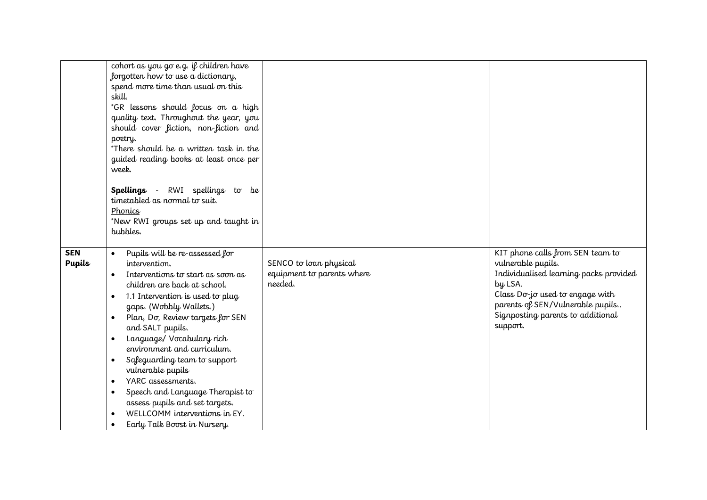|                             | cohort as you go e.g. if children have<br>forgotten how to use a dictionary,<br>spend more time than usual on this<br>skill.<br>*GR lessons should focus on a high<br>quality text. Throughout the year, you<br>should cover fiction, non-fiction and<br>poetry.<br>*There should be a written task in the                                                                                                                                                                                                                                                                                                                                                 |                                                                 |                                                                                                                                                                                                                                     |
|-----------------------------|------------------------------------------------------------------------------------------------------------------------------------------------------------------------------------------------------------------------------------------------------------------------------------------------------------------------------------------------------------------------------------------------------------------------------------------------------------------------------------------------------------------------------------------------------------------------------------------------------------------------------------------------------------|-----------------------------------------------------------------|-------------------------------------------------------------------------------------------------------------------------------------------------------------------------------------------------------------------------------------|
|                             | guided reading books at least once per                                                                                                                                                                                                                                                                                                                                                                                                                                                                                                                                                                                                                     |                                                                 |                                                                                                                                                                                                                                     |
|                             | week.                                                                                                                                                                                                                                                                                                                                                                                                                                                                                                                                                                                                                                                      |                                                                 |                                                                                                                                                                                                                                     |
|                             | Spellings -<br>RWI spellings to be<br>timetabled as normal to suit.<br>Phonics<br>*New RWI groups set up and taught in<br>bubbles.                                                                                                                                                                                                                                                                                                                                                                                                                                                                                                                         |                                                                 |                                                                                                                                                                                                                                     |
| <b>SEN</b><br><b>Pupils</b> | Pupils will be re-assessed for<br>$\bullet$<br>intervention.<br>Interventions to start as soon as<br>$\bullet$<br>children are back at school.<br>1.1 Intervention is used to plug<br>$\bullet$<br>gaps. (Wobbly Wallets.)<br>Plan, Dσ, Review targets for SEN<br>$\bullet$<br>and SALT pupils.<br>Language/ Vocabulary rich<br>$\bullet$<br>environment and curriculum.<br>Safeguarding team to support<br>$\bullet$<br>vulnerable pupils<br>YARC assessments.<br>$\bullet$<br>Speech and Language Therapist to<br>$\bullet$<br>assess pupils and set targets.<br>WELLCOMM interventions in EY.<br>$\bullet$<br>Early Talk Boost in Nursery.<br>$\bullet$ | SENCO to loan physical<br>equipment to parents where<br>needed. | KIT phone calls from SEN team to<br>vulnerable pupils.<br>Individualised learning packs provided<br>by LSA.<br>Class Do-jo used to engage with<br>parents of SEN/Vulnerable pupils<br>Signposting parents to additional<br>support. |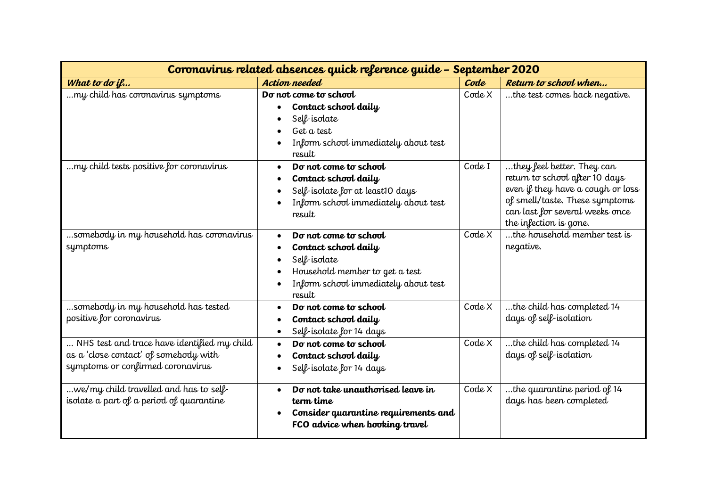| Coronavirus related absences quick reference guide - September 2020                                                       |                                                                                                                                                   |        |                                                                                                                                                                                                  |
|---------------------------------------------------------------------------------------------------------------------------|---------------------------------------------------------------------------------------------------------------------------------------------------|--------|--------------------------------------------------------------------------------------------------------------------------------------------------------------------------------------------------|
| What to do $i$ $\ell$                                                                                                     | Action needed                                                                                                                                     | Code   | Return to school when                                                                                                                                                                            |
| my child has coronavirus symptoms                                                                                         | Do not come to school<br>Contact school daily<br>Self-isolate<br>Get a test<br>Inform school immediately about test<br>result                     | Code X | the test comes back negative.                                                                                                                                                                    |
| my child tests positive for coronavirus                                                                                   | Do not come to school<br>Contact school daily<br>Self-isolate for at least10 days<br>Inform school immediately about test<br>result               | Code I | they feel better. They can<br>return to school after 10 days<br>even if they have a cough or loss<br>of smell/taste. These symptoms<br>can last for several weeks once<br>the infection is gone. |
| somebody in my household has coronavirus<br>symptoms                                                                      | Do not come to school<br>Contact school daily<br>Self-isolate<br>Household member to get a test<br>Inform school immediately about test<br>result | Code X | the household member test is<br>negative.                                                                                                                                                        |
| somebody in my household has tested<br>positive for coronavirus                                                           | Do not come to school<br>Contact school daily<br>Self-isolate for 14 days<br>$\bullet$                                                            | Code X | the child has completed 14<br>days of self-isolation                                                                                                                                             |
| NHS test and trace have identified my child<br>as a 'close contact' of somebody with<br>symptoms or confirmed coronavirus | Do not come to school<br>$\bullet$<br>Contact school daily<br>Self-isolate for 14 days                                                            | Code X | the child has completed 14<br>days of self-isolation                                                                                                                                             |
| we/my child travelled and has to self<br>isolate a part of a period of quarantine                                         | Do not take unauthorised leave in<br>$\bullet$<br>term time<br>Consider quarantine requirements and<br>FCO advice when booking travel             | Code X | the quarantine period of 14<br>days has been completed                                                                                                                                           |